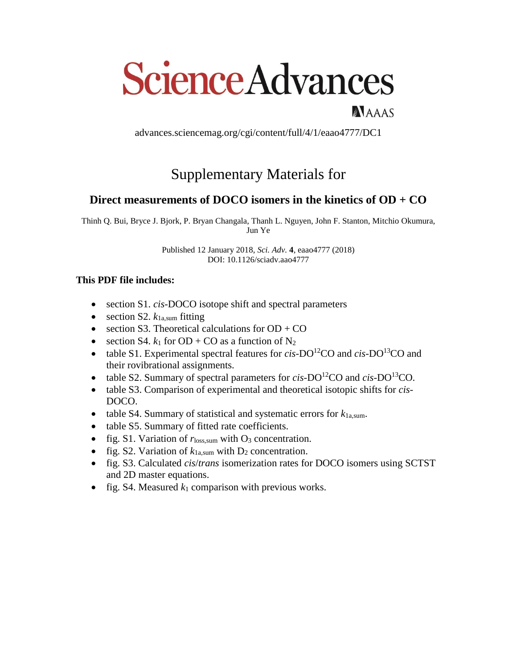# **Science Advances**

NAAAS

advances.sciencemag.org/cgi/content/full/4/1/eaao4777/DC1

## Supplementary Materials for

#### **Direct measurements of DOCO isomers in the kinetics of OD + CO**

Thinh Q. Bui, Bryce J. Bjork, P. Bryan Changala, Thanh L. Nguyen, John F. Stanton, Mitchio Okumura, Jun Ye

> Published 12 January 2018, *Sci. Adv.* **4**, eaao4777 (2018) DOI: 10.1126/sciadv.aao4777

#### **This PDF file includes:**

- section S1. *cis*-DOCO isotope shift and spectral parameters
- $\bullet$  section S2.  $k_{1a, sum}$  fitting
- $\bullet$  section S3. Theoretical calculations for OD + CO
- $\bullet$  section S4.  $k_1$  for OD + CO as a function of N<sub>2</sub>
- table S1. Experimental spectral features for *cis*-DO<sup>12</sup>CO and *cis*-DO<sup>13</sup>CO and their rovibrational assignments.
- table S2. Summary of spectral parameters for  $cis$ -DO<sup>12</sup>CO and  $cis$ -DO<sup>13</sup>CO.
- table S3. Comparison of experimental and theoretical isotopic shifts for *cis*-DOCO.
- table S4. Summary of statistical and systematic errors for  $k_{1a, sum}$ .
- table S5. Summary of fitted rate coefficients.
- fig. S1. Variation of  $r_{loss, sum}$  with  $O_3$  concentration.
- fig. S2. Variation of  $k_{1a, sum}$  with  $D_2$  concentration.
- fig. S3. Calculated *cis*/*trans* isomerization rates for DOCO isomers using SCTST and 2D master equations.
- fig. S4. Measured  $k_1$  comparison with previous works.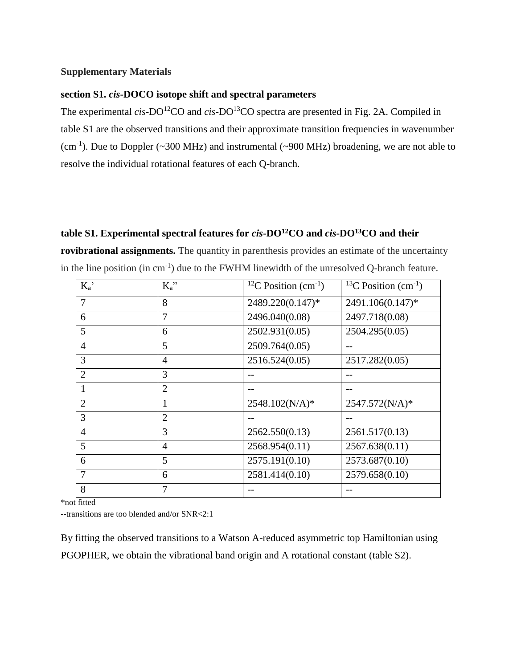#### **Supplementary Materials**

#### **section S1.** *cis***-DOCO isotope shift and spectral parameters**

The experimental *cis-DO*<sup>12</sup>CO and *cis-DO*<sup>13</sup>CO spectra are presented in Fig. 2A. Compiled in table S1 are the observed transitions and their approximate transition frequencies in wavenumber (cm<sup>-1</sup>). Due to Doppler (~300 MHz) and instrumental (~900 MHz) broadening, we are not able to resolve the individual rotational features of each Q-branch.

#### **table S1. Experimental spectral features for** *cis***-DO<sup>12</sup>CO and** *cis***-DO<sup>13</sup>CO and their**

**rovibrational assignments.** The quantity in parenthesis provides an estimate of the uncertainty in the line position (in  $cm^{-1}$ ) due to the FWHM linewidth of the unresolved Q-branch feature.

| $K_a$ '        | $K_a$ "        | <sup>12</sup> C Position (cm <sup>-1</sup> ) | <sup>13</sup> C Position $(cm^{-1})$ |
|----------------|----------------|----------------------------------------------|--------------------------------------|
| $\overline{7}$ | 8              | 2489.220(0.147)*                             | 2491.106(0.147)*                     |
| 6              | $\overline{7}$ | 2496.040(0.08)                               | 2497.718(0.08)                       |
| 5              | 6              | 2502.931(0.05)                               | 2504.295(0.05)                       |
| $\overline{4}$ | 5              | 2509.764(0.05)                               |                                      |
| 3              | $\overline{4}$ | 2516.524(0.05)                               | 2517.282(0.05)                       |
| $\overline{2}$ | 3              |                                              |                                      |
|                | $\overline{2}$ |                                              |                                      |
| $\overline{2}$ | $\mathbf{1}$   | 2548.102(N/A)*                               | 2547.572(N/A)*                       |
| 3              | $\overline{2}$ |                                              |                                      |
| $\overline{4}$ | 3              | 2562.550(0.13)                               | 2561.517(0.13)                       |
| 5              | $\overline{4}$ | 2568.954(0.11)                               | 2567.638(0.11)                       |
| 6              | 5              | 2575.191(0.10)                               | 2573.687(0.10)                       |
| $\overline{7}$ | 6              | 2581.414(0.10)                               | 2579.658(0.10)                       |
| 8              | 7              |                                              |                                      |

\*not fitted

--transitions are too blended and/or SNR<2:1

By fitting the observed transitions to a Watson A-reduced asymmetric top Hamiltonian using PGOPHER, we obtain the vibrational band origin and A rotational constant (table S2).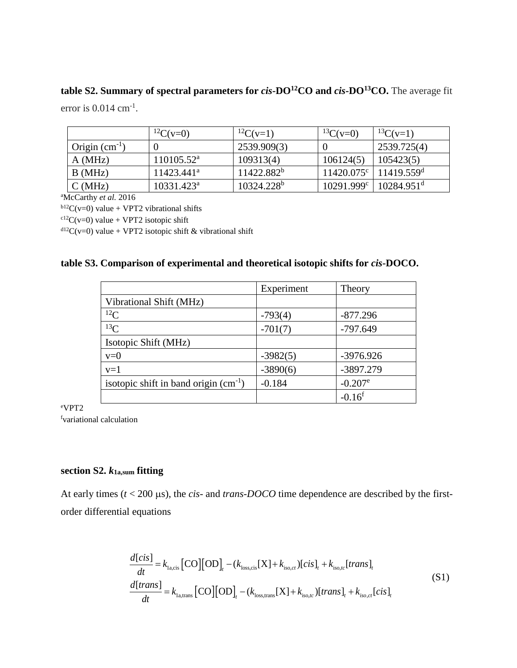### **table S2. Summary of spectral parameters for** *cis***-DO<sup>12</sup>CO and** *cis***-DO<sup>13</sup>CO.** The average fit error is  $0.014$  cm<sup>-1</sup>.

|                    | ${}^{12}C(v=0)$        | ${}^{12}C(v=1)$ | ${}^{13}C(v=0)$     | ${}^{13}C(v=1)$          |
|--------------------|------------------------|-----------------|---------------------|--------------------------|
| Origin $(cm^{-1})$ |                        | 2539.909(3)     |                     | 2539.725(4)              |
| A(MHz)             | 110105.52 <sup>a</sup> | 109313(4)       | 106124(5)           | 105423(5)                |
| B(MHz)             | $11423.441^a$          | $11422.882^b$   | $11420.075^{\circ}$ | 11419.559 <sup>d</sup>   |
| C(MHz)             | $10331.423^a$          | $10324.228^b$   | $10291.999^c$       | $10284.951$ <sup>d</sup> |

<sup>a</sup>McCarthy *et al.* 2016

 $b12C(v=0)$  value + VPT2 vibrational shifts

 $c12C(v=0)$  value + VPT2 isotopic shift

 $d^{12}C(v=0)$  value + VPT2 isotopic shift & vibrational shift

|  |  | table S3. Comparison of experimental and theoretical isotopic shifts for cis-DOCO. |  |
|--|--|------------------------------------------------------------------------------------|--|
|  |  |                                                                                    |  |

|                                           | Experiment | Theory                |
|-------------------------------------------|------------|-----------------------|
| Vibrational Shift (MHz)                   |            |                       |
| ${}^{12}C$                                | $-793(4)$  | $-877.296$            |
| ${}^{13}C$                                | $-701(7)$  | $-797.649$            |
| Isotopic Shift (MHz)                      |            |                       |
| $v=0$                                     | $-3982(5)$ | -3976.926             |
| $v=1$                                     | $-3890(6)$ | -3897.279             |
| isotopic shift in band origin $(cm^{-1})$ | $-0.184$   | $-0.207$ <sup>e</sup> |
|                                           |            | $-0.16$ <sup>f</sup>  |

<sup>e</sup>VPT2

<sup>f</sup>variational calculation

#### **section S2.** *k***1a,sum fitting**

At early times  $(t < 200 \,\mu s)$ , the *cis*- and *trans-DOCO* time dependence are described by the firstorder differential equations

$$
\frac{d[cis]}{dt} = k_{\text{l}\text{a,cis}} \left[ \text{CO} \right] \left[ \text{OD} \right]_t - (k_{\text{loss,cis}} [X] + k_{\text{iso,ct}}) [cis]_t + k_{\text{iso,tc}} [trans]_t
$$
\n
$$
\frac{d[trans]}{dt} = k_{\text{l}\text{a,trans}} \left[ \text{CO} \right] \left[ \text{OD} \right]_t - (k_{\text{loss,trans}} [X] + k_{\text{iso,tc}}) [trans]_t + k_{\text{iso,ct}} [cis]_t
$$
\n(S1)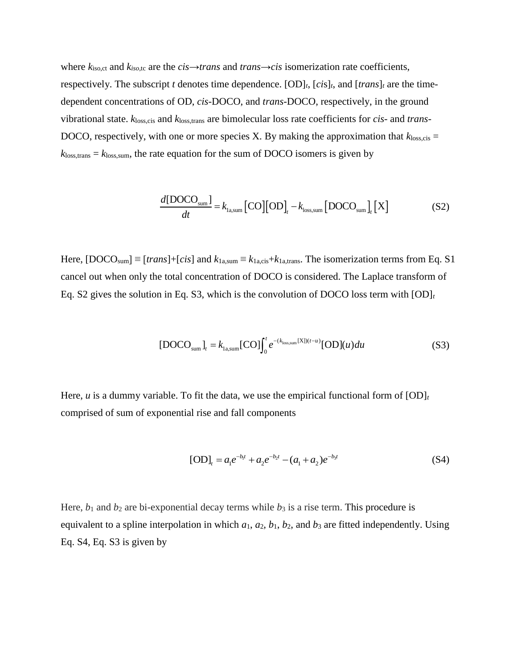where  $k_{\text{iso,ct}}$  and  $k_{\text{iso,tc}}$  are the  $cis \rightarrow trans$  and  $trans \rightarrow cis$  isomerization rate coefficients, respectively. The subscript *t* denotes time dependence.  $[OD]_t$ ,  $[cis]_t$ , and  $[trans]_t$  are the timedependent concentrations of OD, *cis*-DOCO, and *trans*-DOCO, respectively, in the ground vibrational state.  $k_{loss,cis}$  and  $k_{loss,trans}$  are bimolecular loss rate coefficients for *cis*- and *trans*-DOCO, respectively, with one or more species X. By making the approximation that  $k_{loss,cis}$  =  $k_{loss, trans} = k_{loss, sum}$ , the rate equation for the sum of DOCO isomers is given by

$$
\frac{d[\text{DOCO}_{\text{sum}}]}{dt} = k_{\text{lasum}}[\text{CO}][\text{OD}]_t - k_{\text{loss,sum}}[\text{DOCO}_{\text{sum}}]_t[X] \tag{S2}
$$

Here,  $[DOCO<sub>sum</sub>] \equiv [trans] + [cis]$  and  $k_{1a, sum} \equiv k_{1a, cis} + k_{1a, trans}$ . The isomerization terms from Eq. S1 cancel out when only the total concentration of DOCO is considered. The Laplace transform of Eq. S2 gives the solution in Eq. S3, which is the convolution of DOCO loss term with  $[OD]_t$ 

$$
[DOCOsum]_{t} = k1a, sum[CO]t0 e-(kloss, sum[X])(t-u)[OD](u) du
$$
 (S3)

Here, *u* is a dummy variable. To fit the data, we use the empirical functional form of  $[OD]_t$ comprised of sum of exponential rise and fall components

$$
[OD]_t = a_1 e^{-b_1 t} + a_2 e^{-b_2 t} - (a_1 + a_2) e^{-b_3 t}
$$
 (S4)

Here,  $b_1$  and  $b_2$  are bi-exponential decay terms while  $b_3$  is a rise term. This procedure is equivalent to a spline interpolation in which  $a_1$ ,  $a_2$ ,  $b_1$ ,  $b_2$ , and  $b_3$  are fitted independently. Using Eq. S4, Eq. S3 is given by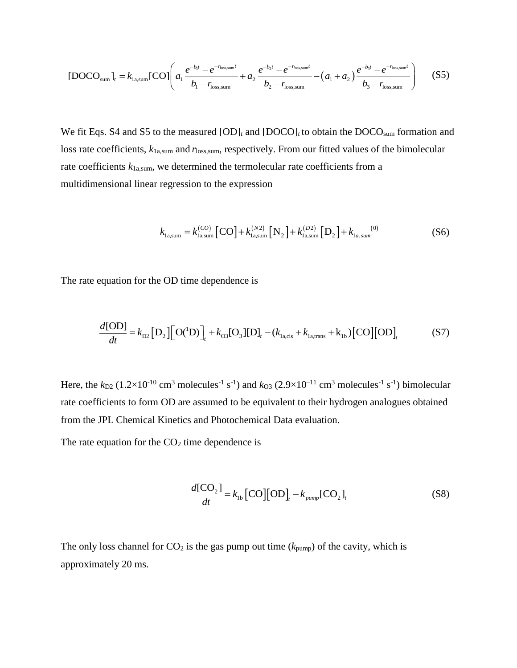$$
[DOCOsum]t = k1a, sum[CO]
$$

$$
\left(a_1 \frac{e^{-b_1 t} - e^{-r_{loss, sum}t}}{b_1 - r_{loss, sum}} + a_2 \frac{e^{-b_2 t} - e^{-r_{loss, sum}t}}{b_2 - r_{loss, sum}} - (a_1 + a_2) \frac{e^{-b_3 t} - e^{-r_{loss, sum}t}}{b_3 - r_{loss, sum}}\right)
$$
(S5)

We fit Eqs. S4 and S5 to the measured  $[OD]_t$  and  $[DOCO]_t$  to obtain the DOCO<sub>sum</sub> formation and loss rate coefficients,  $k_{1a, sum}$  and  $r_{loss, sum}$ , respectively. From our fitted values of the bimolecular rate coefficients *k*1a,sum, we determined the termolecular rate coefficients from a multidimensional linear regression to the expression

$$
k_{1_{a,\text{sum}}} = k_{1_{a,\text{sum}}}^{(CO)} [CO] + k_{1_{a,\text{sum}}}^{(N_2)} [N_2] + k_{1_{a,\text{sum}}}^{(D_2)} [D_2] + k_{1_{a,\text{sum}}}^{(0)}
$$
(S6)

The rate equation for the OD time dependence is

$$
\frac{d[OD]}{dt} = k_{D2} [D_2] [O(^1D)]_t + k_{O3} [O_3] [D]_t - (k_{I_{a,cis}} + k_{I_{a,trans}} + k_{Ib}) [CO] [OD]_t
$$
 (S7)

Here, the  $k_{D2}$  (1.2×10<sup>-10</sup> cm<sup>3</sup> molecules<sup>-1</sup> s<sup>-1</sup>) and  $k_{O3}$  (2.9×10<sup>-11</sup> cm<sup>3</sup> molecules<sup>-1</sup> s<sup>-1</sup>) bimolecular rate coefficients to form OD are assumed to be equivalent to their hydrogen analogues obtained from the JPL Chemical Kinetics and Photochemical Data evaluation.

The rate equation for the  $CO<sub>2</sub>$  time dependence is

$$
\frac{d[CO_2]}{dt} = k_{1b} [CO][OD]_t - k_{pump} [CO_2]_t
$$
 (S8)

The only loss channel for  $CO_2$  is the gas pump out time ( $k_{\text{pump}}$ ) of the cavity, which is approximately 20 ms.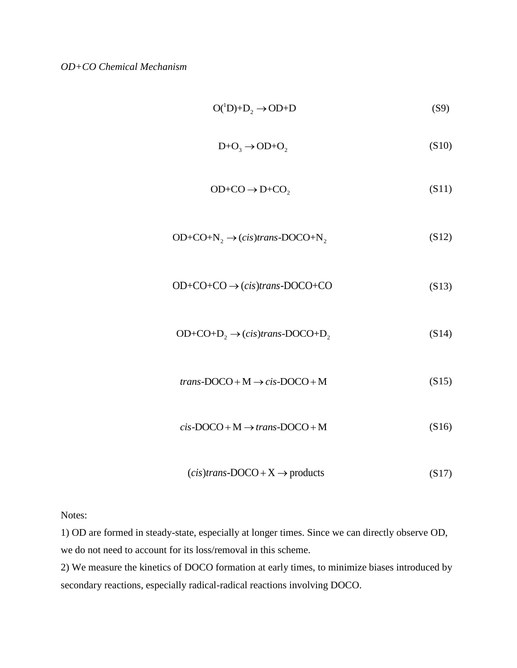$$
O(^{1}D)+D_{2} \rightarrow OD+D \tag{S9}
$$

$$
D + O_3 \rightarrow OD + O_2 \tag{S10}
$$

$$
OD + CO \rightarrow D + CO_2 \tag{S11}
$$

$$
OD+CO+N_2 \rightarrow (cis)trans-DOCO+N_2
$$
 (S12)

$$
OD+CO+CO \rightarrow (cis) trans-DOCO+CO
$$
 (S13)

$$
OD+CO+D_2 \rightarrow (cis)trans-DOCO+D_2
$$
 (S14)

$$
trans\text{-}DOCO + M \rightarrow cis\text{-}DOCO + M
$$
 (S15)

$$
cis\text{-}DOCO + M \rightarrow trans\text{-}DOCO + M
$$
 (S16)

$$
(cis) trans\text{-}DOCO + X \to products \tag{S17}
$$

Notes:

1) OD are formed in steady-state, especially at longer times. Since we can directly observe OD, we do not need to account for its loss/removal in this scheme.

2) We measure the kinetics of DOCO formation at early times, to minimize biases introduced by secondary reactions, especially radical-radical reactions involving DOCO.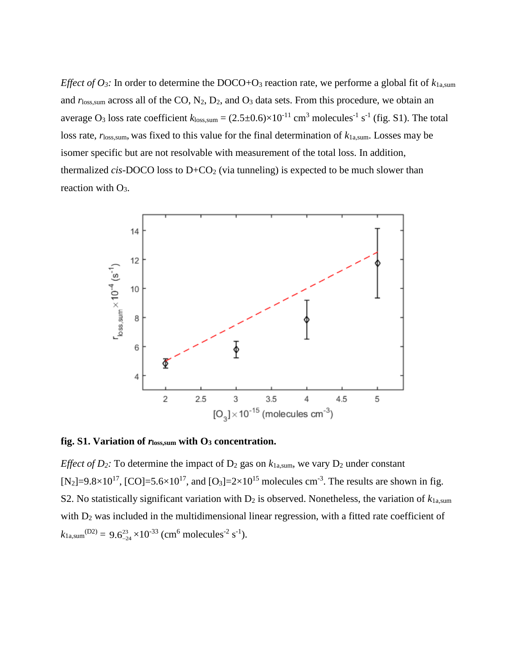*Effect of O<sub>3</sub>*: In order to determine the DOCO+O<sub>3</sub> reaction rate, we performe a global fit of  $k_{1a, sum}$ and  $r_{\text{loss,sum}}$  across all of the CO,  $N_2$ ,  $D_2$ , and  $O_3$  data sets. From this procedure, we obtain an average O<sub>3</sub> loss rate coefficient  $k_{loss, sum} = (2.5 \pm 0.6) \times 10^{-11}$  cm<sup>3</sup> molecules<sup>-1</sup> s<sup>-1</sup> (fig. S1). The total loss rate, *r*<sub>loss,sum</sub>, was fixed to this value for the final determination of  $k_{1a, sum}$ . Losses may be isomer specific but are not resolvable with measurement of the total loss. In addition, thermalized *cis*-DOCO loss to  $D+CO<sub>2</sub>$  (via tunneling) is expected to be much slower than reaction with O<sub>3</sub>.



**fig. S1. Variation of** *r***loss,sum with O<sup>3</sup> concentration.**

*Effect of D*<sub>2</sub>*:* To determine the impact of D<sub>2</sub> gas on  $k_{1a, sum}$ , we vary D<sub>2</sub> under constant [N<sub>2</sub>]=9.8×10<sup>17</sup>, [CO]=5.6×10<sup>17</sup>, and [O<sub>3</sub>]=2×10<sup>15</sup> molecules cm<sup>-3</sup>. The results are shown in fig. S2. No statistically significant variation with  $D_2$  is observed. Nonetheless, the variation of  $k_{1a, sum}$ with  $D_2$  was included in the multidimensional linear regression, with a fitted rate coefficient of  $k_{1a, sum}^{(D2)} = 9.6_{-24}^{23} \times 10^{-33}$  (cm<sup>6</sup> molecules<sup>-2</sup> s<sup>-1</sup>).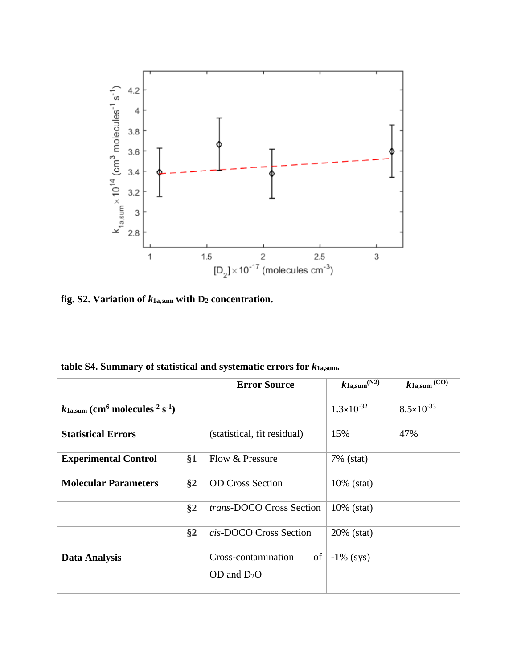

**fig. S2. Variation of** *k***1a,sum with D<sup>2</sup> concentration.**

**table S4. Summary of statistical and systematic errors for** *k***1a,sum.**

|       | <b>Error Source</b>             | $k_{1a, sum}$ (N2)                                                                         | $k_{1a, sum}$ (CO)                                         |
|-------|---------------------------------|--------------------------------------------------------------------------------------------|------------------------------------------------------------|
|       |                                 |                                                                                            |                                                            |
|       |                                 |                                                                                            | $8.5 \times 10^{-33}$                                      |
|       |                                 |                                                                                            |                                                            |
|       |                                 |                                                                                            | 47%                                                        |
|       |                                 |                                                                                            |                                                            |
|       |                                 |                                                                                            |                                                            |
|       |                                 |                                                                                            |                                                            |
|       |                                 |                                                                                            |                                                            |
| $\S2$ | <i>trans-DOCO Cross Section</i> | $10\%$ (stat)                                                                              |                                                            |
|       |                                 |                                                                                            |                                                            |
| $\S2$ | cis-DOCO Cross Section          | 20% (stat)                                                                                 |                                                            |
|       |                                 |                                                                                            |                                                            |
|       | Cross-contamination<br>of       | $-1\%$ (sys)                                                                               |                                                            |
|       |                                 |                                                                                            |                                                            |
|       |                                 |                                                                                            |                                                            |
|       | §1<br>§2                        | (statistical, fit residual)<br>Flow & Pressure<br><b>OD Cross Section</b><br>OD and $D_2O$ | $1.3 \times 10^{-32}$<br>15%<br>7% (stat)<br>$10\%$ (stat) |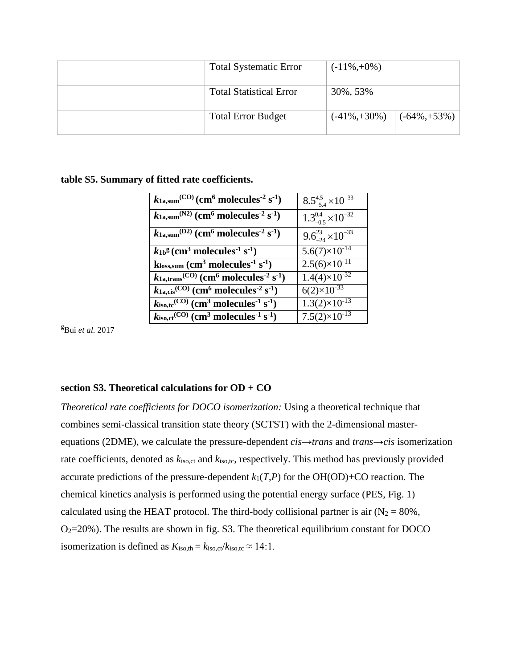| <b>Total Systematic Error</b>  | $(-11\%, +0\%)$                      |
|--------------------------------|--------------------------------------|
| <b>Total Statistical Error</b> | 30%, 53%                             |
| <b>Total Error Budget</b>      | $(-41\%, +30\%)$<br>$(-64\%, +53\%)$ |

#### **table S5. Summary of fitted rate coefficients.**

| $k_{1a, sum}$ <sup>(CO)</sup> (cm <sup>6</sup> molecules <sup>-2</sup> s <sup>-1</sup> )     | $8.5^{4.5}_{-5.4}\times10^{-33}$ |
|----------------------------------------------------------------------------------------------|----------------------------------|
| $k_{1a, sum}$ <sup>(N2)</sup> (cm <sup>6</sup> molecules <sup>-2</sup> s <sup>-1</sup> )     | $1.3^{0.4}_{-0.5}\times10^{-32}$ |
| $k_{1a, sum}$ <sup>(D2)</sup> (cm <sup>6</sup> molecules <sup>-2</sup> s <sup>-1</sup> )     | $9.6^{23}_{-24} \times 10^{-33}$ |
| $k_{1b}$ <sup>g</sup> (cm <sup>3</sup> molecules <sup>-1</sup> s <sup>-1</sup> )             | $5.6(7)\times10^{-14}$           |
| $k$ loss,sum (cm <sup>3</sup> molecules <sup>-1</sup> s <sup>-1</sup> )                      | $2.5(6)\times10^{-11}$           |
| $k_{1a, trans}$ <sup>(CO)</sup> (cm <sup>6</sup> molecules <sup>-2</sup> s <sup>-1</sup> )   | $1.4(4)\times10^{-32}$           |
| $k_{1a,cis}$ <sup>(CO)</sup> (cm <sup>6</sup> molecules <sup>-2</sup> s <sup>-1</sup> )      | $6(2)\times10^{-33}$             |
| $k_{\text{iso,tc}}^{\text{(CO)}}$ (cm <sup>3</sup> molecules <sup>-1</sup> s <sup>-1</sup> ) | $1.3(2)\times10^{-13}$           |
| $k_{\text{iso,ct}}^{\text{(CO)}}$ (cm <sup>3</sup> molecules <sup>-1</sup> s <sup>-1</sup> ) | $7.5(2)\times10^{-13}$           |

<sup>g</sup>Bui *et al.* 2017

#### **section S3. Theoretical calculations for OD + CO**

*Theoretical rate coefficients for DOCO isomerization:* Using a theoretical technique that combines semi-classical transition state theory (SCTST) with the 2-dimensional masterequations (2DME), we calculate the pressure-dependent *cis*→*trans* and *trans*→*cis* isomerization rate coefficients, denoted as  $k_{iso,ct}$  and  $k_{iso,tc}$ , respectively. This method has previously provided accurate predictions of the pressure-dependent  $k_1(T, P)$  for the OH(OD)+CO reaction. The chemical kinetics analysis is performed using the potential energy surface (PES, Fig. 1) calculated using the HEAT protocol. The third-body collisional partner is air  $(N_2 = 80\%$ ,  $O<sub>2</sub>=20%$ ). The results are shown in fig. S3. The theoretical equilibrium constant for DOCO isomerization is defined as  $K_{\text{iso,th}} = k_{\text{iso,ct}}/k_{\text{iso,tc}} \approx 14.1$ .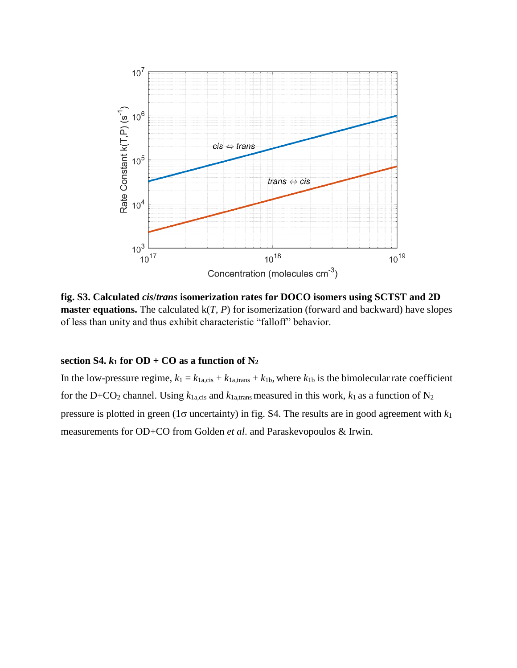

**fig. S3. Calculated** *cis***/***trans* **isomerization rates for DOCO isomers using SCTST and 2D master equations.** The calculated k(*T, P*) for isomerization (forward and backward) have slopes of less than unity and thus exhibit characteristic "falloff" behavior.

#### **section S4.**  $k_1$  for OD + CO as a function of  $N_2$

In the low-pressure regime,  $k_1 = k_{1a,\text{cis}} + k_{1a,\text{trans}} + k_{1b}$ , where  $k_{1b}$  is the bimolecular rate coefficient for the D+CO<sub>2</sub> channel. Using  $k_{1a, cis}$  and  $k_{1a, trans}$  measured in this work,  $k_1$  as a function of N<sub>2</sub> pressure is plotted in green ( $1\sigma$  uncertainty) in fig. S4. The results are in good agreement with  $k_1$ measurements for OD+CO from Golden *et al*. and Paraskevopoulos & Irwin.